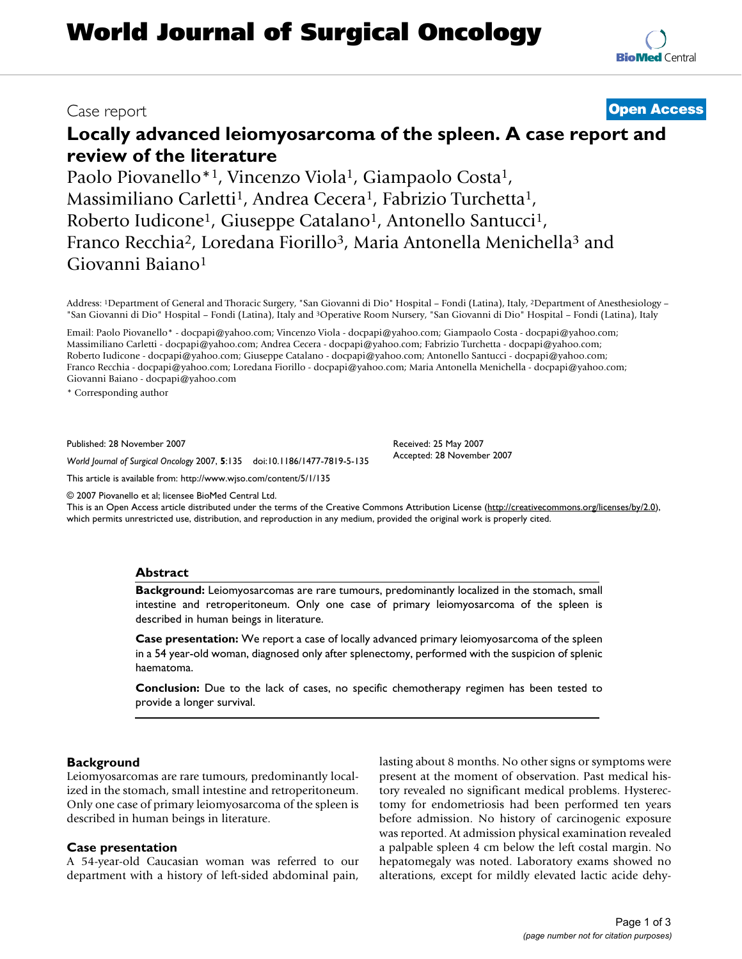# **Locally advanced leiomyosarcoma of the spleen. A case report and review of the literature**

Paolo Piovanello\*<sup>1</sup>, Vincenzo Viola<sup>1</sup>, Giampaolo Costa<sup>1</sup>, Massimiliano Carletti<sup>1</sup>, Andrea Cecera<sup>1</sup>, Fabrizio Turchetta<sup>1</sup>, Roberto Iudicone<sup>1</sup>, Giuseppe Catalano<sup>1</sup>, Antonello Santucci<sup>1</sup>, Franco Recchia<sup>2</sup>, Loredana Fiorillo<sup>3</sup>, Maria Antonella Menichella<sup>3</sup> and Giovanni Baiano1

Address: 1Department of General and Thoracic Surgery, "San Giovanni di Dio" Hospital – Fondi (Latina), Italy, 2Department of Anesthesiology – "San Giovanni di Dio" Hospital – Fondi (Latina), Italy and 3Operative Room Nursery, "San Giovanni di Dio" Hospital – Fondi (Latina), Italy

Email: Paolo Piovanello\* - docpapi@yahoo.com; Vincenzo Viola - docpapi@yahoo.com; Giampaolo Costa - docpapi@yahoo.com; Massimiliano Carletti - docpapi@yahoo.com; Andrea Cecera - docpapi@yahoo.com; Fabrizio Turchetta - docpapi@yahoo.com; Roberto Iudicone - docpapi@yahoo.com; Giuseppe Catalano - docpapi@yahoo.com; Antonello Santucci - docpapi@yahoo.com; Franco Recchia - docpapi@yahoo.com; Loredana Fiorillo - docpapi@yahoo.com; Maria Antonella Menichella - docpapi@yahoo.com; Giovanni Baiano - docpapi@yahoo.com

\* Corresponding author

Published: 28 November 2007

*World Journal of Surgical Oncology* 2007, **5**:135 doi:10.1186/1477-7819-5-135

[This article is available from: http://www.wjso.com/content/5/1/135](http://www.wjso.com/content/5/1/135)

© 2007 Piovanello et al; licensee BioMed Central Ltd.

This is an Open Access article distributed under the terms of the Creative Commons Attribution License [\(http://creativecommons.org/licenses/by/2.0\)](http://creativecommons.org/licenses/by/2.0), which permits unrestricted use, distribution, and reproduction in any medium, provided the original work is properly cited.

### **Abstract**

**Background:** Leiomyosarcomas are rare tumours, predominantly localized in the stomach, small intestine and retroperitoneum. Only one case of primary leiomyosarcoma of the spleen is described in human beings in literature.

**Case presentation:** We report a case of locally advanced primary leiomyosarcoma of the spleen in a 54 year-old woman, diagnosed only after splenectomy, performed with the suspicion of splenic haematoma.

**Conclusion:** Due to the lack of cases, no specific chemotherapy regimen has been tested to provide a longer survival.

#### **Background**

Leiomyosarcomas are rare tumours, predominantly localized in the stomach, small intestine and retroperitoneum. Only one case of primary leiomyosarcoma of the spleen is described in human beings in literature.

#### **Case presentation**

A 54-year-old Caucasian woman was referred to our department with a history of left-sided abdominal pain, lasting about 8 months. No other signs or symptoms were present at the moment of observation. Past medical history revealed no significant medical problems. Hysterectomy for endometriosis had been performed ten years before admission. No history of carcinogenic exposure was reported. At admission physical examination revealed a palpable spleen 4 cm below the left costal margin. No hepatomegaly was noted. Laboratory exams showed no alterations, except for mildly elevated lactic acide dehy-

## Case report **Case report [Open Access](http://www.biomedcentral.com/info/about/charter/)**

Received: 25 May 2007 Accepted: 28 November 2007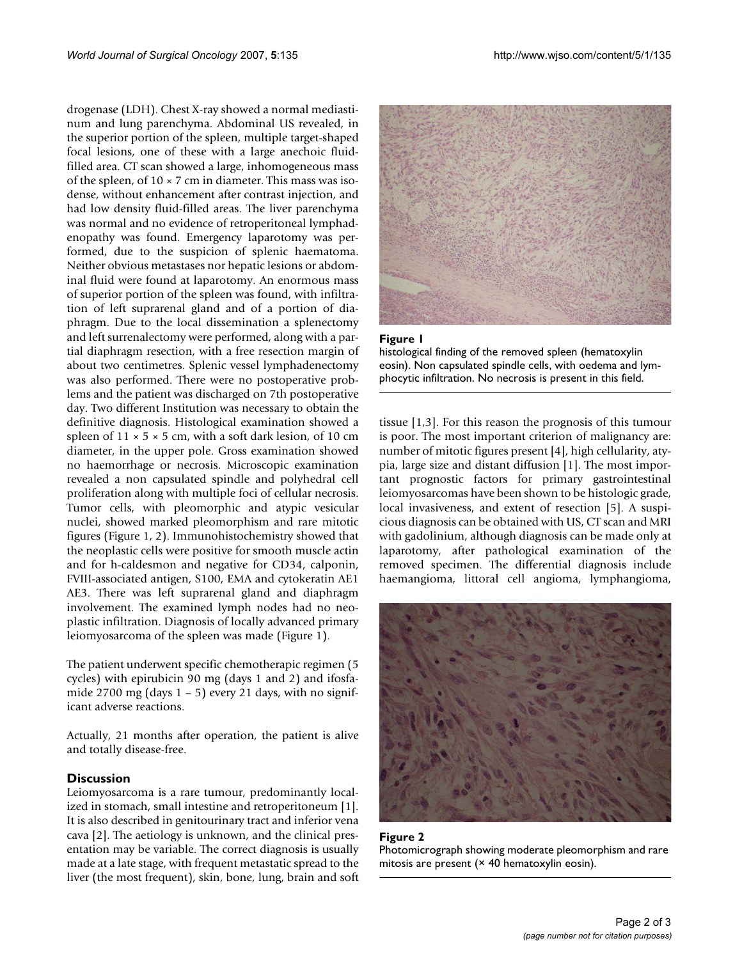drogenase (LDH). Chest X-ray showed a normal mediastinum and lung parenchyma. Abdominal US revealed, in the superior portion of the spleen, multiple target-shaped focal lesions, one of these with a large anechoic fluidfilled area. CT scan showed a large, inhomogeneous mass of the spleen, of  $10 \times 7$  cm in diameter. This mass was isodense, without enhancement after contrast injection, and had low density fluid-filled areas. The liver parenchyma was normal and no evidence of retroperitoneal lymphadenopathy was found. Emergency laparotomy was performed, due to the suspicion of splenic haematoma. Neither obvious metastases nor hepatic lesions or abdominal fluid were found at laparotomy. An enormous mass of superior portion of the spleen was found, with infiltration of left suprarenal gland and of a portion of diaphragm. Due to the local dissemination a splenectomy and left surrenalectomy were performed, along with a partial diaphragm resection, with a free resection margin of about two centimetres. Splenic vessel lymphadenectomy was also performed. There were no postoperative problems and the patient was discharged on 7th postoperative day. Two different Institution was necessary to obtain the definitive diagnosis. Histological examination showed a spleen of  $11 \times 5 \times 5$  cm, with a soft dark lesion, of 10 cm diameter, in the upper pole. Gross examination showed no haemorrhage or necrosis. Microscopic examination revealed a non capsulated spindle and polyhedral cell proliferation along with multiple foci of cellular necrosis. Tumor cells, with pleomorphic and atypic vesicular nuclei, showed marked pleomorphism and rare mitotic figures (Figure 1, 2). Immunohistochemistry showed that the neoplastic cells were positive for smooth muscle actin and for h-caldesmon and negative for CD34, calponin, FVIII-associated antigen, S100, EMA and cytokeratin AE1 AE3. There was left suprarenal gland and diaphragm involvement. The examined lymph nodes had no neoplastic infiltration. Diagnosis of locally advanced primary leiomyosarcoma of the spleen was made (Figure 1).

The patient underwent specific chemotherapic regimen (5 cycles) with epirubicin 90 mg (days 1 and 2) and ifosfamide 2700 mg (days  $1 - 5$ ) every 21 days, with no significant adverse reactions.

Actually, 21 months after operation, the patient is alive and totally disease-free.

#### **Discussion**

Leiomyosarcoma is a rare tumour, predominantly localized in stomach, small intestine and retroperitoneum [1]. It is also described in genitourinary tract and inferior vena cava [2]. The aetiology is unknown, and the clinical presentation may be variable. The correct diagnosis is usually made at a late stage, with frequent metastatic spread to the liver (the most frequent), skin, bone, lung, brain and soft





tissue [1,3]. For this reason the prognosis of this tumour is poor. The most important criterion of malignancy are: number of mitotic figures present [4], high cellularity, atypia, large size and distant diffusion [1]. The most important prognostic factors for primary gastrointestinal leiomyosarcomas have been shown to be histologic grade, local invasiveness, and extent of resection [5]. A suspicious diagnosis can be obtained with US, CT scan and MRI with gadolinium, although diagnosis can be made only at laparotomy, after pathological examination of the removed specimen. The differential diagnosis include haemangioma, littoral cell angioma, lymphangioma,



**Figure 2** Photomicrograph showing moderate pleomorphism and rare mitosis are present  $(x 40$  hematoxylin eosin).